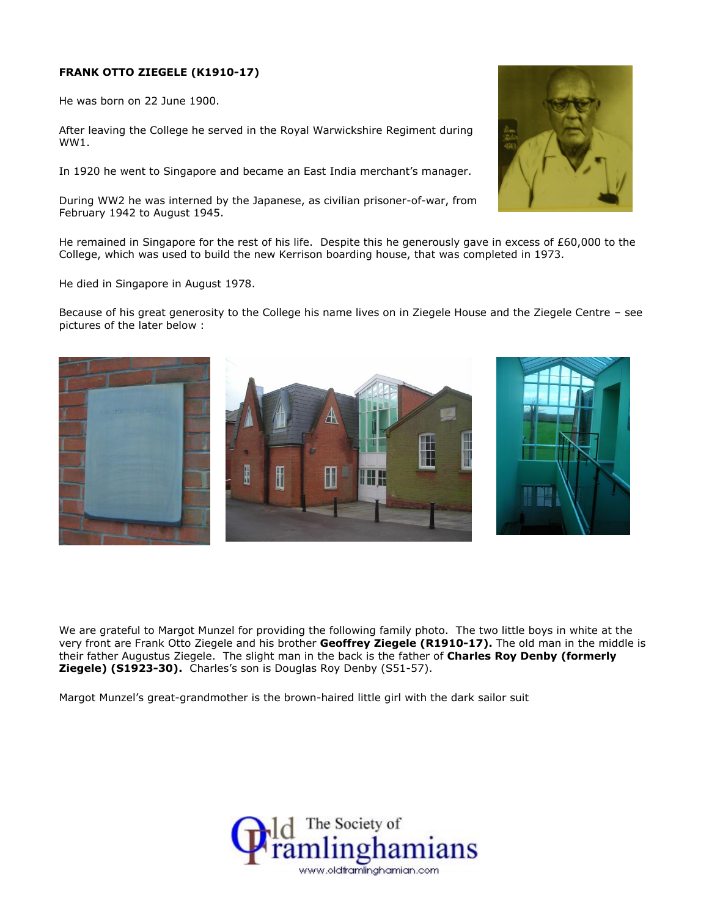## **FRANK OTTO ZIEGELE (K1910-17)**

He was born on 22 June 1900.

After leaving the College he served in the Royal Warwickshire Regiment during WW1.

In 1920 he went to Singapore and became an East India merchant's manager.

During WW2 he was interned by the Japanese, as civilian prisoner-of-war, from February 1942 to August 1945.

I

Ŧ

He remained in Singapore for the rest of his life. Despite this he generously gave in excess of £60,000 to the College, which was used to build the new Kerrison boarding house, that was completed in 1973.

He died in Singapore in August 1978.

Because of his great generosity to the College his name lives on in Ziegele House and the Ziegele Centre – see pictures of the later below :



Margot Munzel's great-grandmother is the brown-haired little girl with the dark sailor suit